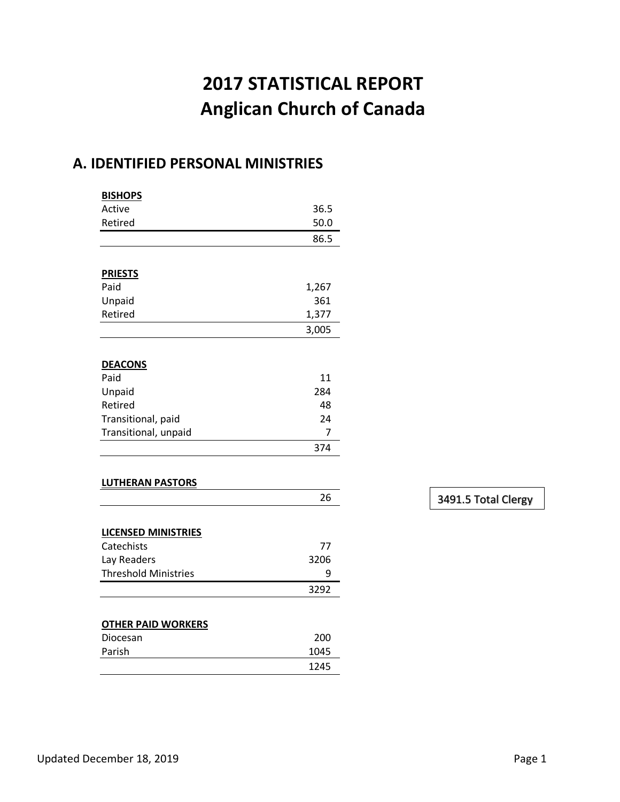# **2017 STATISTICAL REPORT Anglican Church of Canada**

### **A. IDENTIFIED PERSONAL MINISTRIES**

| <b>BISHOPS</b>              |       |
|-----------------------------|-------|
| Active                      | 36.5  |
| Retired                     | 50.0  |
|                             | 86.5  |
|                             |       |
| <b>PRIESTS</b>              |       |
| Paid                        | 1,267 |
| Unpaid                      | 361   |
| Retired                     | 1,377 |
|                             | 3,005 |
|                             |       |
| <b>DEACONS</b>              |       |
| Paid                        | 11    |
| Unpaid                      | 284   |
| Retired                     | 48    |
| Transitional, paid          | 24    |
| Transitional, unpaid        | 7     |
|                             | 374   |
|                             |       |
| <b>LUTHERAN PASTORS</b>     |       |
|                             | 26    |
|                             |       |
| <b>LICENSED MINISTRIES</b>  |       |
| Catechists                  | 77    |
| Lay Readers                 | 3206  |
| <b>Threshold Ministries</b> | 9     |
|                             | 3292  |
|                             |       |
| <b>OTHER PAID WORKERS</b>   |       |
| Diocesan                    | 200   |
| Parish                      | 1045  |
|                             | 1245  |

3491.5 Total Clergy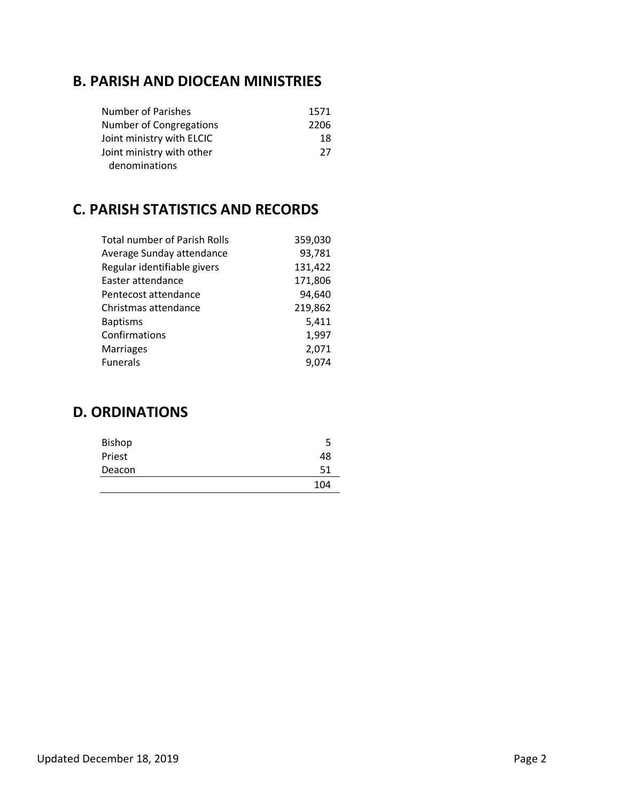### **B. PARISH AND DIOCEAN MINISTRIES**

| <b>Number of Parishes</b> | 1571 |
|---------------------------|------|
| Number of Congregations   | 2206 |
| Joint ministry with ELCIC | 18   |
| Joint ministry with other | -27  |
| denominations             |      |

### **C. PARISH STATISTICS AND RECORDS**

| <b>Total number of Parish Rolls</b> | 359,030 |
|-------------------------------------|---------|
| Average Sunday attendance           | 93,781  |
| Regular identifiable givers         | 131,422 |
| Easter attendance                   | 171,806 |
| Pentecost attendance                | 94,640  |
| Christmas attendance                | 219,862 |
| <b>Baptisms</b>                     | 5,411   |
| Confirmations                       | 1,997   |
| <b>Marriages</b>                    | 2,071   |
| <b>Funerals</b>                     | 9,074   |
|                                     |         |

### **D. ORDINATIONS**

| <b>Bishop</b> | 5   |
|---------------|-----|
| Priest        | 48  |
| Deacon        | 51  |
|               | 104 |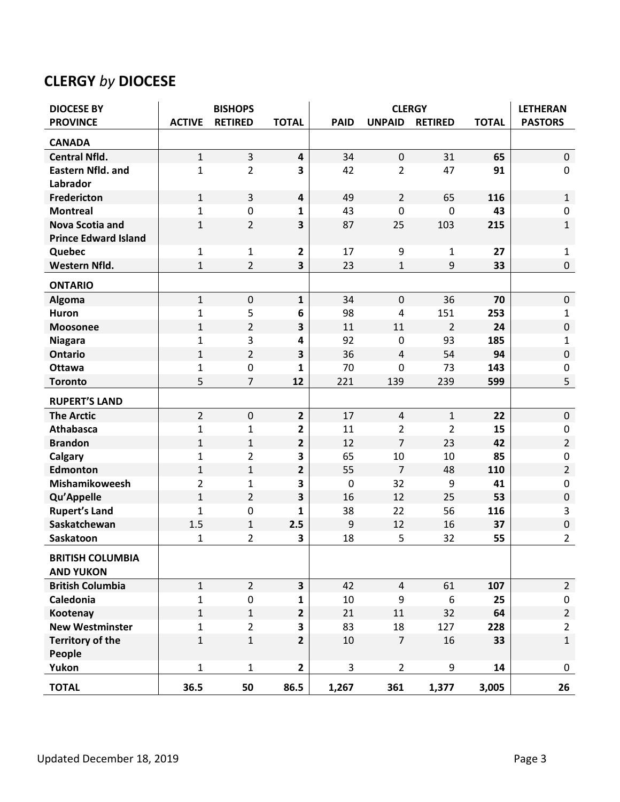## **CLERGY** *by* **DIOCESE**

| <b>DIOCESE BY</b>                           |                | <b>BISHOPS</b> |                         |             | <b>CLERGY</b>  |                |              | <b>LETHERAN</b> |
|---------------------------------------------|----------------|----------------|-------------------------|-------------|----------------|----------------|--------------|-----------------|
| <b>PROVINCE</b>                             | <b>ACTIVE</b>  | <b>RETIRED</b> | <b>TOTAL</b>            | <b>PAID</b> | <b>UNPAID</b>  | <b>RETIRED</b> | <b>TOTAL</b> | <b>PASTORS</b>  |
| <b>CANADA</b>                               |                |                |                         |             |                |                |              |                 |
| <b>Central Nfld.</b>                        | $\mathbf{1}$   | 3              | $\overline{\mathbf{4}}$ | 34          | $\pmb{0}$      | 31             | 65           | $\mathbf 0$     |
| <b>Eastern Nfld. and</b>                    | 1              | $\overline{2}$ | $\overline{\mathbf{3}}$ | 42          | $\overline{2}$ | 47             | 91           | $\pmb{0}$       |
| Labrador                                    |                |                |                         |             |                |                |              |                 |
| <b>Fredericton</b>                          | $\mathbf{1}$   | 3              | $\overline{\mathbf{4}}$ | 49          | $\overline{2}$ | 65             | 116          | $\mathbf 1$     |
| <b>Montreal</b>                             | $\mathbf{1}$   | $\mathbf 0$    | 1                       | 43          | $\mathbf 0$    | 0              | 43           | $\mathbf 0$     |
| <b>Nova Scotia and</b>                      | $\mathbf{1}$   | $\overline{2}$ | $\overline{\mathbf{3}}$ | 87          | 25             | 103            | 215          | $\mathbf{1}$    |
| <b>Prince Edward Island</b>                 |                |                |                         |             |                |                |              |                 |
| Quebec                                      | $\mathbf 1$    | $\mathbf{1}$   | $\mathbf{2}$            | 17          | 9              | $\mathbf{1}$   | 27           | $\mathbf{1}$    |
| Western Nfld.                               | $\mathbf{1}$   | $\overline{2}$ | $\overline{\mathbf{3}}$ | 23          | $\mathbf{1}$   | 9              | 33           | $\pmb{0}$       |
| <b>ONTARIO</b>                              |                |                |                         |             |                |                |              |                 |
| Algoma                                      | $\mathbf{1}$   | $\mathbf 0$    | $\mathbf{1}$            | 34          | $\mathbf 0$    | 36             | 70           | $\mathbf 0$     |
| Huron                                       | 1              | 5              | 6                       | 98          | 4              | 151            | 253          | 1               |
| <b>Moosonee</b>                             | $\mathbf{1}$   | $\overline{2}$ | 3                       | 11          | 11             | $\overline{2}$ | 24           | $\pmb{0}$       |
| <b>Niagara</b>                              | 1              | 3              | 4                       | 92          | 0              | 93             | 185          | $\mathbf{1}$    |
| <b>Ontario</b>                              | $\mathbf{1}$   | $\overline{2}$ | 3                       | 36          | $\overline{4}$ | 54             | 94           | $\pmb{0}$       |
| Ottawa                                      | 1              | $\pmb{0}$      | 1                       | 70          | $\mathbf 0$    | 73             | 143          | 0               |
| <b>Toronto</b>                              | 5              | $\overline{7}$ | 12                      | 221         | 139            | 239            | 599          | 5               |
| <b>RUPERT'S LAND</b>                        |                |                |                         |             |                |                |              |                 |
| <b>The Arctic</b>                           | $\overline{2}$ | $\mathbf 0$    | $\overline{2}$          | 17          | $\overline{4}$ | $\mathbf{1}$   | 22           | $\mathbf 0$     |
| <b>Athabasca</b>                            | $\mathbf{1}$   | 1              | $\overline{2}$          | 11          | 2              | $\overline{2}$ | 15           | $\mathbf 0$     |
| <b>Brandon</b>                              | $\mathbf{1}$   | $\mathbf{1}$   | $\mathbf{2}$            | 12          | $\overline{7}$ | 23             | 42           | $\overline{2}$  |
| Calgary                                     | 1              | $\overline{2}$ | 3                       | 65          | 10             | 10             | 85           | 0               |
| Edmonton                                    | $\mathbf{1}$   | $\mathbf{1}$   | $\overline{2}$          | 55          | $\overline{7}$ | 48             | 110          | $\overline{2}$  |
| Mishamikoweesh                              | 2              | 1              | 3                       | $\mathbf 0$ | 32             | 9              | 41           | 0               |
| Qu'Appelle                                  | $\mathbf{1}$   | $\overline{2}$ | 3                       | 16          | 12             | 25             | 53           | $\pmb{0}$       |
| <b>Rupert's Land</b>                        | 1              | 0              | 1                       | 38          | 22             | 56             | 116          | 3               |
| Saskatchewan                                | 1.5            | $\mathbf{1}$   | 2.5                     | 9           | 12             | 16             | 37           | $\pmb{0}$       |
| Saskatoon                                   | 1              | 2              | 3                       | 18          | 5              | 32             | 55           | $\overline{2}$  |
| <b>BRITISH COLUMBIA</b><br><b>AND YUKON</b> |                |                |                         |             |                |                |              |                 |
| <b>British Columbia</b>                     | $\mathbf{1}$   | $2^{\circ}$    | $\overline{\mathbf{3}}$ | 42          | $\overline{4}$ | 61             | 107          | $2^{\circ}$     |
| Caledonia                                   | $\mathbf{1}$   | 0              | $\mathbf{1}$            | 10          | 9              | 6              | 25           | 0               |
| Kootenay                                    | $\mathbf{1}$   | $\mathbf{1}$   | $\mathbf{2}$            | 21          | 11             | 32             | 64           | $2^{\circ}$     |
| <b>New Westminster</b>                      | $\mathbf{1}$   | $\overline{2}$ | $\overline{\mathbf{3}}$ | 83          | 18             | 127            | 228          | $\overline{2}$  |
| <b>Territory of the</b>                     | $1\,$          | $\mathbf{1}$   | $\overline{2}$          | 10          | $\overline{7}$ | 16             | 33           | $\mathbf 1$     |
| People                                      |                |                |                         |             |                |                |              |                 |
| Yukon                                       | $\mathbf{1}$   | $\mathbf{1}$   | $\overline{2}$          | 3           | $\overline{2}$ | 9              | 14           | 0               |
| <b>TOTAL</b>                                | 36.5           | 50             | 86.5                    | 1,267       | 361            | 1,377          | 3,005        | 26              |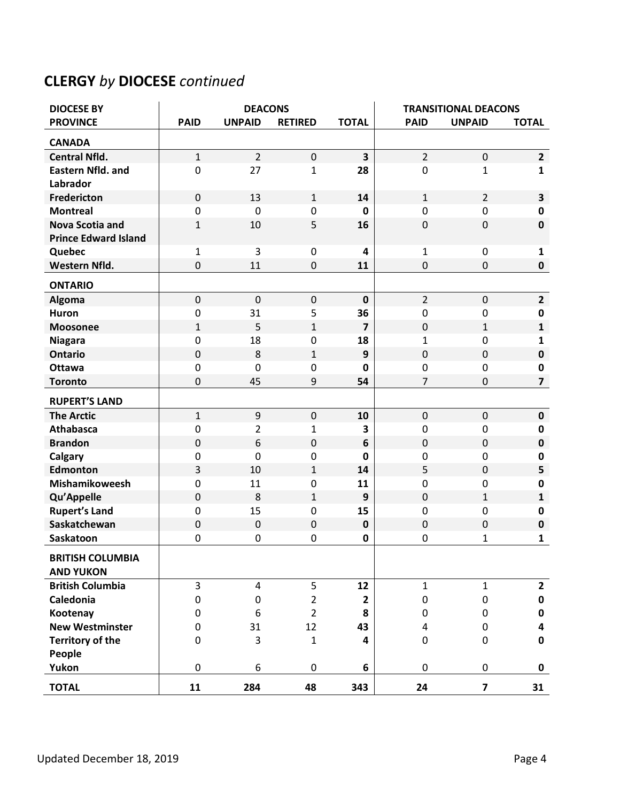## **CLERGY** *by* **DIOCESE** *continued*

| <b>DIOCESE BY</b>                           | <b>DEACONS</b> |                  |                | <b>TRANSITIONAL DEACONS</b> |                |                         |                         |
|---------------------------------------------|----------------|------------------|----------------|-----------------------------|----------------|-------------------------|-------------------------|
| <b>PROVINCE</b>                             | <b>PAID</b>    | <b>UNPAID</b>    | <b>RETIRED</b> | <b>TOTAL</b>                | <b>PAID</b>    | <b>UNPAID</b>           | <b>TOTAL</b>            |
| <b>CANADA</b>                               |                |                  |                |                             |                |                         |                         |
| <b>Central Nfld.</b>                        | $\mathbf{1}$   | $\overline{2}$   | $\mathbf 0$    | $\overline{\mathbf{3}}$     | $\overline{2}$ | $\mathbf 0$             | $\overline{2}$          |
| <b>Eastern Nfld. and</b>                    | 0              | 27               | $\mathbf{1}$   | 28                          | $\pmb{0}$      | $\mathbf{1}$            | $\mathbf{1}$            |
| Labrador                                    |                |                  |                |                             |                |                         |                         |
| Fredericton                                 | $\mathbf 0$    | 13               | $\mathbf{1}$   | 14                          | $\mathbf{1}$   | $\overline{2}$          | 3                       |
| <b>Montreal</b>                             | 0              | $\mathbf 0$      | 0              | 0                           | $\mathbf 0$    | $\mathbf 0$             | $\pmb{0}$               |
| <b>Nova Scotia and</b>                      | 1              | 10               | 5              | 16                          | $\pmb{0}$      | 0                       | $\mathbf 0$             |
| <b>Prince Edward Island</b>                 |                |                  |                |                             |                |                         |                         |
| Quebec                                      | $\mathbf 1$    | 3                | $\pmb{0}$      | 4                           | $\mathbf 1$    | 0                       | $\mathbf{1}$            |
| Western Nfld.                               | $\mathbf 0$    | 11               | $\mathbf 0$    | 11                          | 0              | 0                       | $\pmb{0}$               |
| <b>ONTARIO</b>                              |                |                  |                |                             |                |                         |                         |
| Algoma                                      | $\mathbf 0$    | $\mathbf 0$      | $\pmb{0}$      | $\mathbf 0$                 | $\overline{2}$ | $\mathbf 0$             | $\overline{2}$          |
| Huron                                       | $\pmb{0}$      | 31               | 5              | 36                          | 0              | 0                       | 0                       |
| <b>Moosonee</b>                             | 1              | 5                | $\mathbf{1}$   | $\overline{7}$              | $\mathbf 0$    | 1                       | 1                       |
| <b>Niagara</b>                              | 0              | 18               | $\mathbf 0$    | 18                          | $\mathbf{1}$   | 0                       | $\mathbf{1}$            |
| <b>Ontario</b>                              | $\mathbf 0$    | 8                | $\mathbf 1$    | 9                           | $\mathbf 0$    | $\mathbf 0$             | $\pmb{0}$               |
| <b>Ottawa</b>                               | $\pmb{0}$      | $\mathbf 0$      | $\mathbf 0$    | $\mathbf 0$                 | 0              | 0                       | $\pmb{0}$               |
| <b>Toronto</b>                              | $\mathbf 0$    | 45               | 9              | 54                          | $\overline{7}$ | 0                       | $\overline{\mathbf{z}}$ |
| <b>RUPERT'S LAND</b>                        |                |                  |                |                             |                |                         |                         |
| <b>The Arctic</b>                           | $\mathbf{1}$   | $\boldsymbol{9}$ | $\mathbf 0$    | 10                          | $\pmb{0}$      | $\mathbf 0$             | $\pmb{0}$               |
| <b>Athabasca</b>                            | $\pmb{0}$      | $\overline{2}$   | $\mathbf{1}$   | 3                           | 0              | 0                       | $\mathbf 0$             |
| <b>Brandon</b>                              | $\mathbf 0$    | 6                | $\mathbf 0$    | 6                           | $\pmb{0}$      | $\mathbf 0$             | $\pmb{0}$               |
| Calgary                                     | 0              | $\mathbf 0$      | $\mathbf 0$    | $\mathbf 0$                 | 0              | 0                       | $\pmb{0}$               |
| <b>Edmonton</b>                             | 3              | 10               | $1\,$          | 14                          | 5              | 0                       | 5                       |
| Mishamikoweesh                              | 0              | 11               | $\mathbf 0$    | 11                          | 0              | 0                       | $\pmb{0}$               |
| Qu'Appelle                                  | $\mathbf 0$    | 8                | $\mathbf{1}$   | 9                           | $\mathbf 0$    | 1                       | $\mathbf{1}$            |
| <b>Rupert's Land</b>                        | $\pmb{0}$      | 15               | 0              | 15                          | $\pmb{0}$      | 0                       | $\pmb{0}$               |
| Saskatchewan                                | $\mathbf 0$    | $\mathbf 0$      | $\mathbf 0$    | $\mathbf 0$                 | $\mathbf 0$    | 0                       | $\pmb{0}$               |
| Saskatoon                                   | 0              | $\mathbf 0$      | 0              | 0                           | 0              | 1                       | 1                       |
| <b>BRITISH COLUMBIA</b><br><b>AND YUKON</b> |                |                  |                |                             |                |                         |                         |
| <b>British Columbia</b>                     | 3              | 4                | 5              | 12                          | $\mathbf{1}$   | $\mathbf{1}$            | $\overline{2}$          |
| Caledonia                                   | 0              | $\pmb{0}$        | $\overline{2}$ | $\mathbf{2}$                | 0              | 0                       | 0                       |
| Kootenay                                    | 0              | 6                | $\overline{2}$ | 8                           | 0              | 0                       | 0                       |
| <b>New Westminster</b>                      | 0              | 31               | 12             | 43                          | 4              | 0                       | $\overline{\mathbf{4}}$ |
| <b>Territory of the</b>                     | 0              | 3                | $\mathbf{1}$   | 4                           | 0              | 0                       | $\pmb{0}$               |
| People                                      |                |                  |                |                             |                |                         |                         |
| Yukon                                       | 0              | 6                | 0              | 6                           | 0              | 0                       | $\mathbf 0$             |
| <b>TOTAL</b>                                | 11             | 284              | 48             | 343                         | 24             | $\overline{\mathbf{z}}$ | 31                      |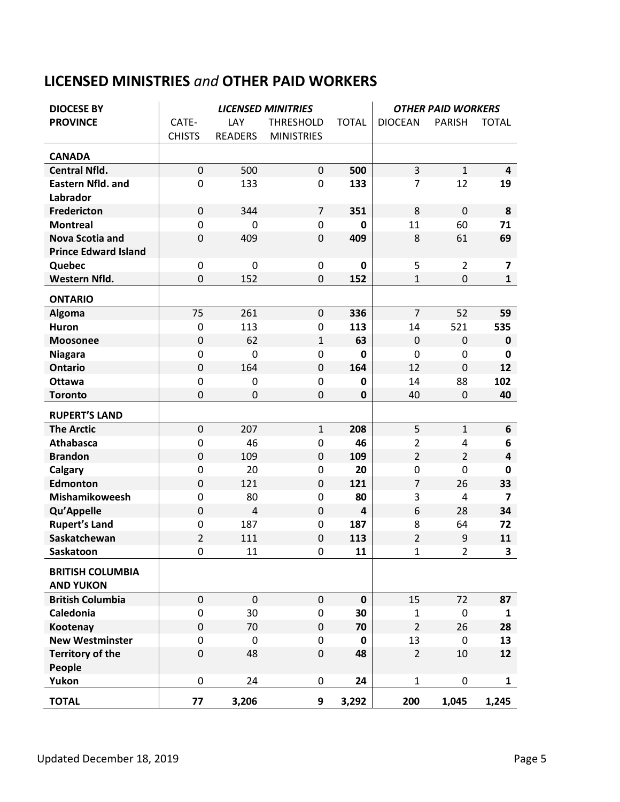## **LICENSED MINISTRIES** *and* **OTHER PAID WORKERS**

| <b>DIOCESE BY</b>                           |                  |                | <b>LICENSED MINITRIES</b> |                | <b>OTHER PAID WORKERS</b> |                |                         |
|---------------------------------------------|------------------|----------------|---------------------------|----------------|---------------------------|----------------|-------------------------|
| <b>PROVINCE</b>                             | CATE-            | LAY            | <b>THRESHOLD</b>          | <b>TOTAL</b>   | <b>DIOCEAN</b>            | <b>PARISH</b>  | <b>TOTAL</b>            |
|                                             | <b>CHISTS</b>    | <b>READERS</b> | <b>MINISTRIES</b>         |                |                           |                |                         |
| <b>CANADA</b>                               |                  |                |                           |                |                           |                |                         |
| <b>Central Nfld.</b>                        | $\mathbf 0$      | 500            | $\mathbf 0$               | 500            | 3                         | $\mathbf 1$    | $\overline{\mathbf{4}}$ |
| <b>Eastern Nfld. and</b>                    | 0                | 133            | $\mathbf 0$               | 133            | $\overline{7}$            | 12             | 19                      |
| Labrador                                    |                  |                |                           |                |                           |                |                         |
| <b>Fredericton</b>                          | $\mathbf 0$      | 344            | $\overline{7}$            | 351            | 8                         | $\mathbf 0$    | 8                       |
| <b>Montreal</b>                             | $\mathbf 0$      | 0              | $\mathbf 0$               | 0              | 11                        | 60             | 71                      |
| <b>Nova Scotia and</b>                      | $\mathbf 0$      | 409            | $\mathbf 0$               | 409            | 8                         | 61             | 69                      |
| <b>Prince Edward Island</b>                 |                  |                |                           |                |                           |                |                         |
| Quebec                                      | $\boldsymbol{0}$ | 0              | 0                         | 0              | 5                         | $\overline{2}$ | 7                       |
| Western Nfld.                               | $\mathbf 0$      | 152            | 0                         | 152            | $\mathbf{1}$              | $\mathbf 0$    | $\mathbf{1}$            |
| <b>ONTARIO</b>                              |                  |                |                           |                |                           |                |                         |
| <b>Algoma</b>                               | 75               | 261            | $\mathbf 0$               | 336            | $\overline{7}$            | 52             | 59                      |
| <b>Huron</b>                                | $\mathbf 0$      | 113            | $\mathbf 0$               | 113            | 14                        | 521            | 535                     |
| <b>Moosonee</b>                             | $\mathbf 0$      | 62             | $\mathbf{1}$              | 63             | $\mathbf 0$               | 0              | $\mathbf 0$             |
| <b>Niagara</b>                              | $\mathbf 0$      | 0              | $\mathbf 0$               | $\mathbf 0$    | 0                         | 0              | 0                       |
| <b>Ontario</b>                              | $\boldsymbol{0}$ | 164            | $\mathbf 0$               | 164            | 12                        | $\mathbf 0$    | 12                      |
| <b>Ottawa</b>                               | $\mathbf 0$      | 0              | $\mathbf 0$               | $\mathbf 0$    | 14                        | 88             | 102                     |
| <b>Toronto</b>                              | $\mathbf 0$      | 0              | $\mathbf 0$               | $\mathbf 0$    | 40                        | $\mathbf 0$    | 40                      |
| <b>RUPERT'S LAND</b>                        |                  |                |                           |                |                           |                |                         |
| <b>The Arctic</b>                           | $\mathbf 0$      | 207            | $\mathbf{1}$              | 208            | 5                         | $\mathbf 1$    | 6                       |
| <b>Athabasca</b>                            | $\boldsymbol{0}$ | 46             | $\mathbf 0$               | 46             | $\overline{2}$            | 4              | 6                       |
| <b>Brandon</b>                              | $\mathbf 0$      | 109            | $\overline{0}$            | 109            | $\overline{2}$            | $\overline{2}$ | $\overline{\mathbf{4}}$ |
| Calgary                                     | $\boldsymbol{0}$ | 20             | $\mathbf 0$               | 20             | 0                         | $\mathbf 0$    | 0                       |
| Edmonton                                    | $\boldsymbol{0}$ | 121            | $\mathbf 0$               | 121            | $\overline{7}$            | 26             | 33                      |
| Mishamikoweesh                              | $\mathbf 0$      | 80             | 0                         | 80             | 3                         | $\overline{4}$ | $\overline{\mathbf{z}}$ |
| Qu'Appelle                                  | $\pmb{0}$        | 4              | $\overline{0}$            | $\overline{4}$ | 6                         | 28             | 34                      |
| <b>Rupert's Land</b>                        | $\boldsymbol{0}$ | 187            | $\mathbf 0$               | 187            | 8                         | 64             | 72                      |
| Saskatchewan                                | $\overline{2}$   | 111            | $\mathbf 0$               | 113            | $\overline{2}$            | 9              | 11                      |
| Saskatoon                                   | 0                | 11             | 0                         | 11             | $\mathbf 1$               | 2              | 3                       |
| <b>BRITISH COLUMBIA</b><br><b>AND YUKON</b> |                  |                |                           |                |                           |                |                         |
| <b>British Columbia</b>                     | $\mathbf{0}$     | $\mathbf 0$    | $\mathbf{0}$              | $\mathbf 0$    | 15                        | 72             | 87                      |
| Caledonia                                   | $\mathbf 0$      | 30             | $\mathbf 0$               | 30             | $\mathbf{1}$              | $\mathbf 0$    | $\mathbf{1}$            |
| Kootenay                                    | $\mathbf 0$      | 70             | $\mathbf 0$               | 70             | $\overline{2}$            | 26             | 28                      |
| <b>New Westminster</b>                      | $\pmb{0}$        | $\mathbf 0$    | $\mathbf 0$               | $\mathbf 0$    | 13                        | $\mathbf 0$    | 13                      |
| <b>Territory of the</b><br>People           | $\pmb{0}$        | 48             | $\mathbf 0$               | 48             | $\overline{2}$            | 10             | 12                      |
| Yukon                                       | 0                | 24             | 0                         | 24             | $\mathbf{1}$              | 0              | 1                       |
| <b>TOTAL</b>                                | 77               | 3,206          | 9                         | 3,292          | 200                       | 1,045          | 1,245                   |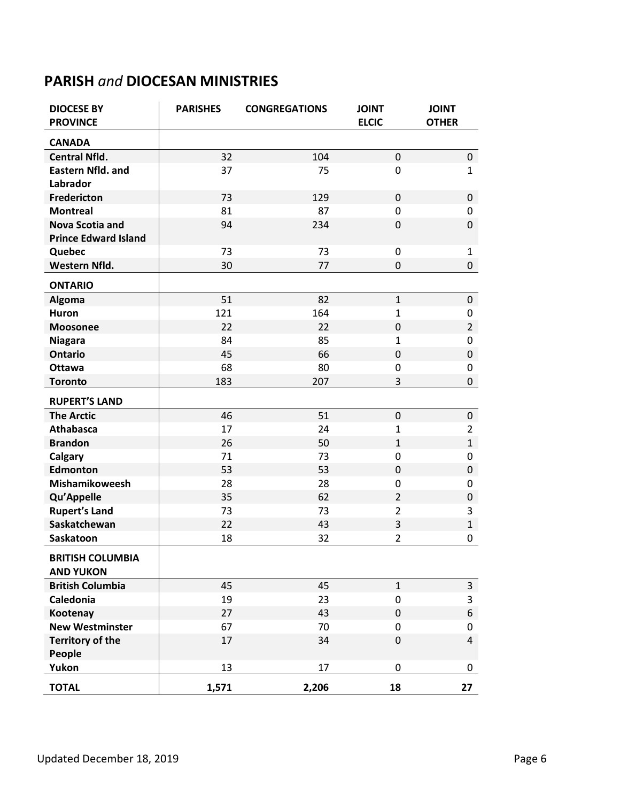## **PARISH** *and* **DIOCESAN MINISTRIES**

| <b>DIOCESE BY</b><br><b>PROVINCE</b> | <b>PARISHES</b> | <b>CONGREGATIONS</b> | <b>JOINT</b><br><b>ELCIC</b> | <b>JOINT</b><br><b>OTHER</b> |
|--------------------------------------|-----------------|----------------------|------------------------------|------------------------------|
| <b>CANADA</b>                        |                 |                      |                              |                              |
| <b>Central Nfld.</b>                 | 32              | 104                  | $\mathbf 0$                  | 0                            |
| <b>Eastern Nfld. and</b>             | 37              | 75                   | $\mathbf 0$                  | $\mathbf{1}$                 |
| Labrador                             |                 |                      |                              |                              |
| Fredericton                          | 73              | 129                  | $\pmb{0}$                    | 0                            |
| <b>Montreal</b>                      | 81              | 87                   | $\mathbf 0$                  | 0                            |
| <b>Nova Scotia and</b>               | 94              | 234                  | $\mathbf 0$                  | 0                            |
| <b>Prince Edward Island</b>          |                 |                      |                              |                              |
| Quebec                               | 73              | 73                   | $\pmb{0}$                    | $\mathbf{1}$                 |
| Western Nfld.                        | 30              | 77                   | 0                            | 0                            |
| <b>ONTARIO</b>                       |                 |                      |                              |                              |
| Algoma                               | 51              | 82                   | $\mathbf{1}$                 | 0                            |
| Huron                                | 121             | 164                  | 1                            | 0                            |
| <b>Moosonee</b>                      | 22              | 22                   | 0                            | $\overline{2}$               |
| <b>Niagara</b>                       | 84              | 85                   | $\mathbf{1}$                 | 0                            |
| <b>Ontario</b>                       | 45              | 66                   | $\mathbf 0$                  | 0                            |
| <b>Ottawa</b>                        | 68              | 80                   | 0                            | 0                            |
| <b>Toronto</b>                       | 183             | 207                  | 3                            | 0                            |
| <b>RUPERT'S LAND</b>                 |                 |                      |                              |                              |
| <b>The Arctic</b>                    | 46              | 51                   | $\pmb{0}$                    | 0                            |
| <b>Athabasca</b>                     | 17              | 24                   | 1                            | $\overline{2}$               |
| <b>Brandon</b>                       | 26              | 50                   | $\mathbf{1}$                 | $\mathbf{1}$                 |
| Calgary                              | 71              | 73                   | $\mathbf 0$                  | 0                            |
| <b>Edmonton</b>                      | 53              | 53                   | $\mathbf 0$                  | 0                            |
| Mishamikoweesh                       | 28              | 28                   | 0                            | 0                            |
| Qu'Appelle                           | 35              | 62                   | $\overline{2}$               | 0                            |
| <b>Rupert's Land</b>                 | 73              | 73                   | $\overline{2}$               | 3                            |
| Saskatchewan                         | 22              | 43                   | 3                            | $\mathbf{1}$                 |
| Saskatoon                            | 18              | 32                   | $\overline{2}$               | 0                            |
| <b>BRITISH COLUMBIA</b>              |                 |                      |                              |                              |
| <b>AND YUKON</b>                     |                 |                      | $\mathbf{1}$                 |                              |
| <b>British Columbia</b><br>Caledonia | 45<br>19        | 45<br>23             | $\pmb{0}$                    | $\mathsf{3}$<br>3            |
| Kootenay                             | 27              | 43                   | 0                            | 6                            |
| <b>New Westminster</b>               | 67              | 70                   | 0                            | 0                            |
| <b>Territory of the</b>              | 17              | 34                   | $\pmb{0}$                    | $\overline{4}$               |
| People                               |                 |                      |                              |                              |
| Yukon                                | 13              | 17                   | 0                            | 0                            |
| <b>TOTAL</b>                         | 1,571           | 2,206                | 18                           | 27                           |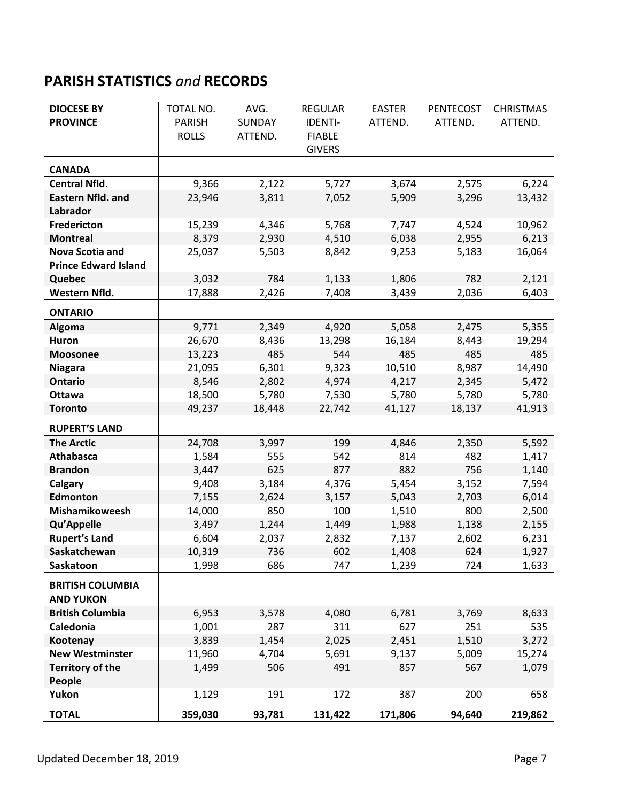## **PARISH STATISTICS** *and* **RECORDS**

| <b>DIOCESE BY</b>           | TOTAL NO.     | AVG.    | <b>REGULAR</b> | <b>EASTER</b> | <b>PENTECOST</b> | <b>CHRISTMAS</b> |
|-----------------------------|---------------|---------|----------------|---------------|------------------|------------------|
| <b>PROVINCE</b>             | <b>PARISH</b> | SUNDAY  | <b>IDENTI-</b> | ATTEND.       | ATTEND.          | ATTEND.          |
|                             | <b>ROLLS</b>  | ATTEND. | <b>FIABLE</b>  |               |                  |                  |
|                             |               |         | <b>GIVERS</b>  |               |                  |                  |
| <b>CANADA</b>               |               |         |                |               |                  |                  |
| <b>Central Nfld.</b>        | 9,366         | 2,122   | 5,727          | 3,674         | 2,575            | 6,224            |
| <b>Eastern Nfld. and</b>    | 23,946        | 3,811   | 7,052          | 5,909         | 3,296            | 13,432           |
| Labrador                    |               |         |                |               |                  |                  |
| Fredericton                 | 15,239        | 4,346   | 5,768          | 7,747         | 4,524            | 10,962           |
| <b>Montreal</b>             | 8,379         | 2,930   | 4,510          | 6,038         | 2,955            | 6,213            |
| <b>Nova Scotia and</b>      | 25,037        | 5,503   | 8,842          | 9,253         | 5,183            | 16,064           |
| <b>Prince Edward Island</b> |               |         |                |               |                  |                  |
| Quebec                      | 3,032         | 784     | 1,133          | 1,806         | 782              | 2,121            |
| Western Nfld.               | 17,888        | 2,426   | 7,408          | 3,439         | 2,036            | 6,403            |
| <b>ONTARIO</b>              |               |         |                |               |                  |                  |
| Algoma                      | 9,771         | 2,349   | 4,920          | 5,058         | 2,475            | 5,355            |
| <b>Huron</b>                | 26,670        | 8,436   | 13,298         | 16,184        | 8,443            | 19,294           |
| <b>Moosonee</b>             | 13,223        | 485     | 544            | 485           | 485              | 485              |
| <b>Niagara</b>              | 21,095        | 6,301   | 9,323          | 10,510        | 8,987            | 14,490           |
| <b>Ontario</b>              | 8,546         | 2,802   | 4,974          | 4,217         | 2,345            | 5,472            |
| <b>Ottawa</b>               | 18,500        | 5,780   | 7,530          | 5,780         | 5,780            | 5,780            |
| <b>Toronto</b>              | 49,237        | 18,448  | 22,742         | 41,127        | 18,137           | 41,913           |
| <b>RUPERT'S LAND</b>        |               |         |                |               |                  |                  |
| <b>The Arctic</b>           | 24,708        | 3,997   | 199            | 4,846         | 2,350            | 5,592            |
| <b>Athabasca</b>            | 1,584         | 555     | 542            | 814           | 482              | 1,417            |
| <b>Brandon</b>              | 3,447         | 625     | 877            | 882           | 756              | 1,140            |
| Calgary                     | 9,408         | 3,184   | 4,376          | 5,454         | 3,152            | 7,594            |
| Edmonton                    | 7,155         | 2,624   | 3,157          | 5,043         | 2,703            | 6,014            |
| Mishamikoweesh              | 14,000        | 850     | 100            | 1,510         | 800              | 2,500            |
| Qu'Appelle                  | 3,497         | 1,244   | 1,449          | 1,988         | 1,138            | 2,155            |
| <b>Rupert's Land</b>        | 6,604         | 2,037   | 2,832          | 7,137         | 2,602            | 6,231            |
| Saskatchewan                | 10,319        | 736     | 602            | 1,408         | 624              | 1,927            |
| Saskatoon                   | 1,998         | 686     | 747            | 1,239         | 724              | 1,633            |
| <b>BRITISH COLUMBIA</b>     |               |         |                |               |                  |                  |
| <b>AND YUKON</b>            |               |         |                |               |                  |                  |
| <b>British Columbia</b>     | 6,953         | 3,578   | 4,080          | 6,781         | 3,769            | 8,633            |
| Caledonia                   | 1,001         | 287     | 311            | 627           | 251              | 535              |
| <b>Kootenay</b>             | 3,839         | 1,454   | 2,025          | 2,451         | 1,510            | 3,272            |
| <b>New Westminster</b>      | 11,960        | 4,704   | 5,691          | 9,137         | 5,009            | 15,274           |
| <b>Territory of the</b>     | 1,499         | 506     | 491            | 857           | 567              | 1,079            |
| People                      |               |         |                |               |                  |                  |
| Yukon                       | 1,129         | 191     | 172            | 387           | 200              | 658              |
| <b>TOTAL</b>                | 359,030       | 93,781  | 131,422        | 171,806       | 94,640           | 219,862          |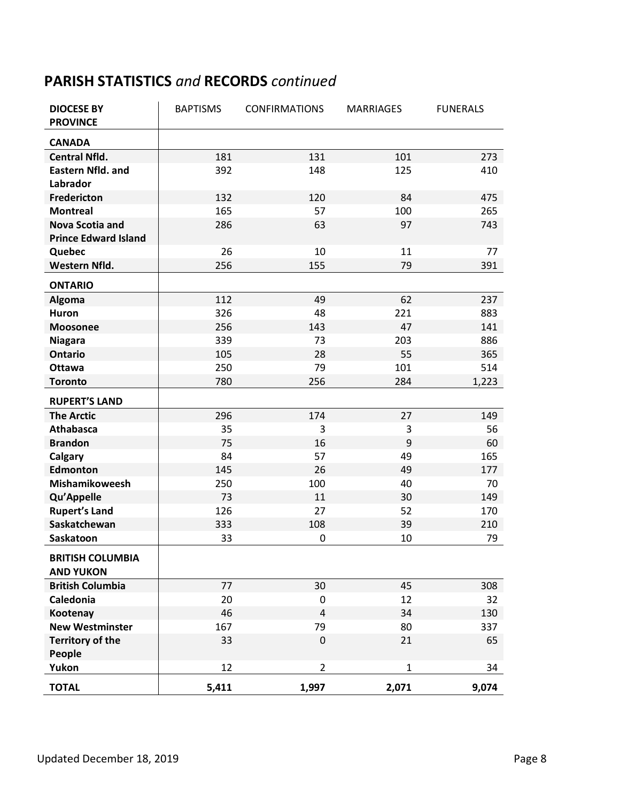## **PARISH STATISTICS** *and* **RECORDS** *continued*

| <b>DIOCESE BY</b><br><b>PROVINCE</b> | <b>BAPTISMS</b> | <b>CONFIRMATIONS</b> | <b>MARRIAGES</b> | <b>FUNERALS</b> |
|--------------------------------------|-----------------|----------------------|------------------|-----------------|
| <b>CANADA</b>                        |                 |                      |                  |                 |
| <b>Central Nfld.</b>                 | 181             | 131                  | 101              | 273             |
| <b>Eastern Nfld. and</b>             | 392             | 148                  | 125              | 410             |
| Labrador                             |                 |                      |                  |                 |
| <b>Fredericton</b>                   | 132             | 120                  | 84               | 475             |
| <b>Montreal</b>                      | 165             | 57                   | 100              | 265             |
| <b>Nova Scotia and</b>               | 286             | 63                   | 97               | 743             |
| <b>Prince Edward Island</b>          |                 |                      |                  |                 |
| Quebec                               | 26              | 10                   | 11               | 77              |
| Western Nfld.                        | 256             | 155                  | 79               | 391             |
| <b>ONTARIO</b>                       |                 |                      |                  |                 |
| <b>Algoma</b>                        | 112             | 49                   | 62               | 237             |
| <b>Huron</b>                         | 326             | 48                   | 221              | 883             |
| Moosonee                             | 256             | 143                  | 47               | 141             |
| <b>Niagara</b>                       | 339             | 73                   | 203              | 886             |
| <b>Ontario</b>                       | 105             | 28                   | 55               | 365             |
| <b>Ottawa</b>                        | 250             | 79                   | 101              | 514             |
| <b>Toronto</b>                       | 780             | 256                  | 284              | 1,223           |
| <b>RUPERT'S LAND</b>                 |                 |                      |                  |                 |
| <b>The Arctic</b>                    | 296             | 174                  | 27               | 149             |
| <b>Athabasca</b>                     | 35              | 3                    | 3                | 56              |
| <b>Brandon</b>                       | 75              | 16                   | 9                | 60              |
| Calgary                              | 84              | 57                   | 49               | 165             |
| <b>Edmonton</b>                      | 145             | 26                   | 49               | 177             |
| Mishamikoweesh                       | 250             | 100                  | 40               | 70              |
| Qu'Appelle                           | 73              | 11                   | 30               | 149             |
| <b>Rupert's Land</b>                 | 126             | 27                   | 52               | 170             |
| Saskatchewan                         | 333             | 108                  | 39               | 210             |
| Saskatoon                            | 33              | 0                    | 10               | 79              |
| BRITISH COLUMBIA                     |                 |                      |                  |                 |
| <b>AND YUKON</b>                     |                 |                      |                  |                 |
| <b>British Columbia</b>              | 77              | 30                   | 45               | 308             |
| <b>Caledonia</b>                     | 20              | 0                    | 12               | 32              |
| Kootenay                             | 46              | 4                    | 34               | 130             |
| <b>New Westminster</b>               | 167             | 79                   | 80               | 337             |
| <b>Territory of the</b>              | 33              | 0                    | 21               | 65              |
| People                               |                 |                      |                  |                 |
| Yukon                                | 12              | $\overline{2}$       | $\mathbf{1}$     | 34              |
| <b>TOTAL</b>                         | 5,411           | 1,997                | 2,071            | 9,074           |